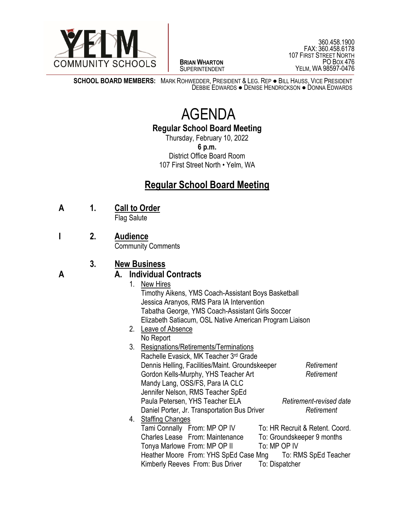

 $\overline{a}$ **BRIAN WHARTON** SUPERINTENDENT

360.458.1900 FAX: 360.458.6178 107 FIRST STREET NORTH PO BOX 476 YELM, WA 98597-0476

**SCHOOL BOARD MEMBERS:** MARK ROHWEDDER, PRESIDENT & LEG. REP ● BILL HAUSS, VICE PRESIDENT DEBBIE EDWARDS ● DENISE HENDRICKSON ● DONNA EDWARDS

# AGENDA

**Regular School Board Meeting**

Thursday, February 10, 2022 **6 p.m.** District Office Board Room 107 First Street North • Yelm, WA

# **Regular School Board Meeting**

**A 1. Call to Order**

Flag Salute

**I 2. Audience**

Community Comments

## **3. New Business**

### **A A. Individual Contracts**

- 1. New Hires Timothy Aikens, YMS Coach-Assistant Boys Basketball Jessica Aranyos, RMS Para IA Intervention Tabatha George, YMS Coach-Assistant Girls Soccer Elizabeth Satiacum, OSL Native American Program Liaison 2. Leave of Absence
- No Report
- 3. Resignations/Retirements/Terminations Rachelle Evasick, MK Teacher 3rd Grade Dennis Helling, Facilities/Maint. Groundskeeper *Retirement* Gordon Kells-Murphy, YHS Teacher Art *Retirement* Mandy Lang, OSS/FS, Para IA CLC Jennifer Nelson, RMS Teacher SpEd Paula Petersen, YHS Teacher ELA *Retirement-revised date* Daniel Porter, Jr. Transportation Bus Driver *Retirement* 4. Staffing Changes Tami Connally From: MP OP IV To: HR Recruit & Retent. Coord. Charles Lease From: Maintenance To: Groundskeeper 9 months Tonya Marlowe From: MP OP II To: MP OP IV Heather Moore From: YHS SpEd Case Mng To: RMS SpEd Teacher Kimberly Reeves From: Bus Driver To: Dispatcher